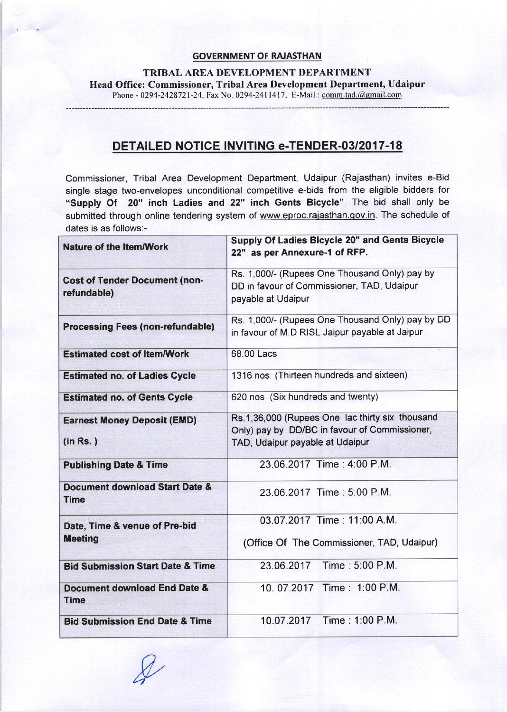## GOVERNMENT OF RAJASTHAN

TRIBAL AREA DEVELOPMENT DEPARTMENT Head Office: Commissioner, Tribal Area Development Department, Udaipur Phone - 0294-2428721-24, Fax No. 0294-2411417, E-Mail: comm.tad.@gmail.com

DETAILED NOTICE INVITING e-TENDER-03/2017-18

Commissioner, Tribal Area Development Department, Udaipur (Rajasthan) invites e-Bid single stage two-envelopes unconditional competitive e-bids from the eligible bidders for "supply Of 20" inch Ladies and 22" inch Gents Bicycle". The bid shall only be submitted through online tendering system of www.eproc.rajasthan.gov.in. The schedule of dates is as follows:-

| <b>Nature of the Item/Work</b>                      | <b>Supply Of Ladies Bicycle 20" and Gents Bicycle</b><br>22" as per Annexure-1 of RFP.                                              |
|-----------------------------------------------------|-------------------------------------------------------------------------------------------------------------------------------------|
| <b>Cost of Tender Document (non-</b><br>refundable) | Rs. 1,000/- (Rupees One Thousand Only) pay by<br>DD in favour of Commissioner, TAD, Udaipur<br>payable at Udaipur                   |
| <b>Processing Fees (non-refundable)</b>             | Rs. 1,000/- (Rupees One Thousand Only) pay by DD<br>in favour of M.D RISL Jaipur payable at Jaipur                                  |
| <b>Estimated cost of Item/Work</b>                  | 68.00 Lacs                                                                                                                          |
| <b>Estimated no. of Ladies Cycle</b>                | 1316 nos. (Thirteen hundreds and sixteen)                                                                                           |
| <b>Estimated no. of Gents Cycle</b>                 | 620 nos (Six hundreds and twenty)                                                                                                   |
| <b>Earnest Money Deposit (EMD)</b><br>(in Rs.)      | Rs.1,36,000 (Rupees One lac thirty six thousand<br>Only) pay by DD/BC in favour of Commissioner,<br>TAD, Udaipur payable at Udaipur |
| <b>Publishing Date &amp; Time</b>                   | 23.06.2017 Time: 4:00 P.M.                                                                                                          |
| Document download Start Date &<br><b>Time</b>       | 23.06.2017 Time: 5:00 P.M.                                                                                                          |
| Date, Time & venue of Pre-bid<br><b>Meeting</b>     | 03.07.2017 Time: 11:00 A.M.<br>(Office Of The Commissioner, TAD, Udaipur)                                                           |
| <b>Bid Submission Start Date &amp; Time</b>         | Time: 5:00 P.M.<br>23.06.2017                                                                                                       |
|                                                     |                                                                                                                                     |
| Document download End Date &<br><b>Time</b>         | 10.07.2017 Time: 1:00 P.M.                                                                                                          |
| <b>Bid Submission End Date &amp; Time</b>           | 10.07.2017 Time: 1:00 P.M.                                                                                                          |